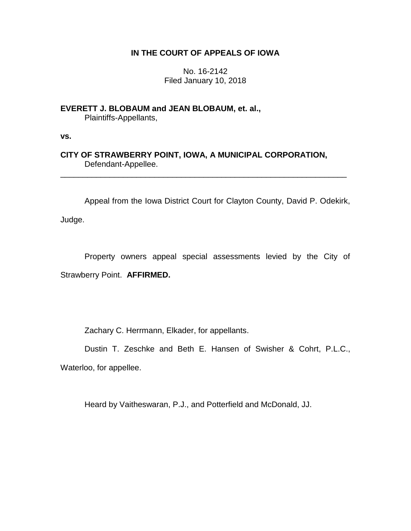# **IN THE COURT OF APPEALS OF IOWA**

No. 16-2142 Filed January 10, 2018

**EVERETT J. BLOBAUM and JEAN BLOBAUM, et. al.,** Plaintiffs-Appellants,

**vs.**

**CITY OF STRAWBERRY POINT, IOWA, A MUNICIPAL CORPORATION,** Defendant-Appellee.

\_\_\_\_\_\_\_\_\_\_\_\_\_\_\_\_\_\_\_\_\_\_\_\_\_\_\_\_\_\_\_\_\_\_\_\_\_\_\_\_\_\_\_\_\_\_\_\_\_\_\_\_\_\_\_\_\_\_\_\_\_\_\_\_

Appeal from the Iowa District Court for Clayton County, David P. Odekirk,

Judge.

Property owners appeal special assessments levied by the City of Strawberry Point. **AFFIRMED.**

Zachary C. Herrmann, Elkader, for appellants.

Dustin T. Zeschke and Beth E. Hansen of Swisher & Cohrt, P.L.C.,

Waterloo, for appellee.

Heard by Vaitheswaran, P.J., and Potterfield and McDonald, JJ.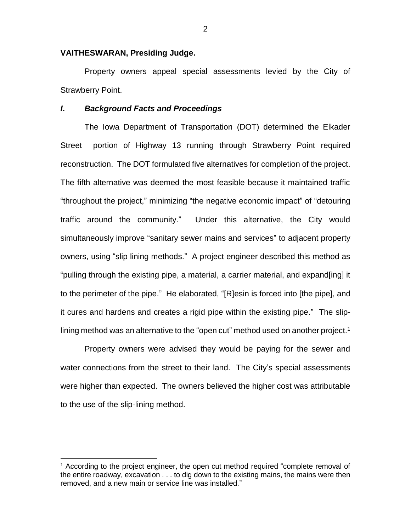## **VAITHESWARAN, Presiding Judge.**

Property owners appeal special assessments levied by the City of Strawberry Point.

### *I***.** *Background Facts and Proceedings*

The Iowa Department of Transportation (DOT) determined the Elkader Street portion of Highway 13 running through Strawberry Point required reconstruction. The DOT formulated five alternatives for completion of the project. The fifth alternative was deemed the most feasible because it maintained traffic "throughout the project," minimizing "the negative economic impact" of "detouring traffic around the community." Under this alternative, the City would simultaneously improve "sanitary sewer mains and services" to adjacent property owners, using "slip lining methods." A project engineer described this method as "pulling through the existing pipe, a material, a carrier material, and expand[ing] it to the perimeter of the pipe." He elaborated, "[R]esin is forced into [the pipe], and it cures and hardens and creates a rigid pipe within the existing pipe." The sliplining method was an alternative to the "open cut" method used on another project.<sup>1</sup>

Property owners were advised they would be paying for the sewer and water connections from the street to their land. The City's special assessments were higher than expected. The owners believed the higher cost was attributable to the use of the slip-lining method.

 $\overline{a}$ 

2

<sup>&</sup>lt;sup>1</sup> According to the project engineer, the open cut method required "complete removal of the entire roadway, excavation . . . to dig down to the existing mains, the mains were then removed, and a new main or service line was installed."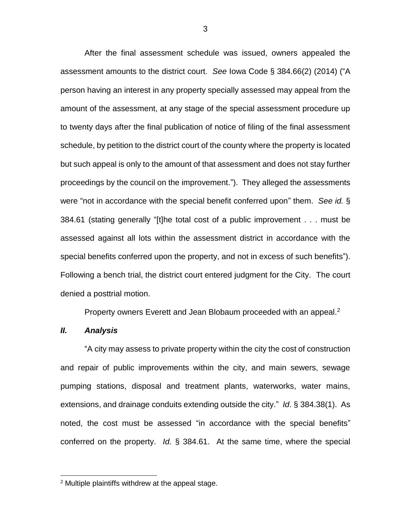After the final assessment schedule was issued, owners appealed the assessment amounts to the district court. *See* Iowa Code § 384.66(2) (2014) ("A person having an interest in any property specially assessed may appeal from the amount of the assessment, at any stage of the special assessment procedure up to twenty days after the final publication of notice of filing of the final assessment schedule, by petition to the district court of the county where the property is located but such appeal is only to the amount of that assessment and does not stay further proceedings by the council on the improvement."). They alleged the assessments were "not in accordance with the special benefit conferred upon" them. *See id.* § 384.61 (stating generally "[t]he total cost of a public improvement . . . must be assessed against all lots within the assessment district in accordance with the special benefits conferred upon the property, and not in excess of such benefits"). Following a bench trial, the district court entered judgment for the City. The court denied a posttrial motion.

Property owners Everett and Jean Blobaum proceeded with an appeal.<sup>2</sup>

# *II. Analysis*

 $\overline{a}$ 

"A city may assess to private property within the city the cost of construction and repair of public improvements within the city, and main sewers, sewage pumping stations, disposal and treatment plants, waterworks, water mains, extensions, and drainage conduits extending outside the city." *Id*. § 384.38(1). As noted, the cost must be assessed "in accordance with the special benefits" conferred on the property. *Id.* § 384.61. At the same time, where the special

<sup>2</sup> Multiple plaintiffs withdrew at the appeal stage.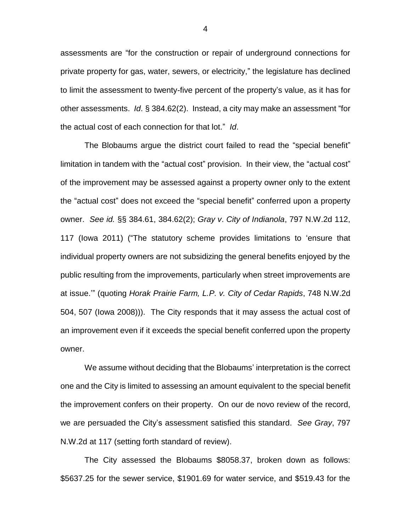assessments are "for the construction or repair of underground connections for private property for gas, water, sewers, or electricity," the legislature has declined to limit the assessment to twenty-five percent of the property's value, as it has for other assessments. *Id*. § 384.62(2). Instead, a city may make an assessment "for the actual cost of each connection for that lot." *Id*.

The Blobaums argue the district court failed to read the "special benefit" limitation in tandem with the "actual cost" provision. In their view, the "actual cost" of the improvement may be assessed against a property owner only to the extent the "actual cost" does not exceed the "special benefit" conferred upon a property owner. *See id.* §§ 384.61, 384.62(2); *Gray v*. *City of Indianola*, 797 N.W.2d 112, 117 (Iowa 2011) ("The statutory scheme provides limitations to 'ensure that individual property owners are not subsidizing the general benefits enjoyed by the public resulting from the improvements, particularly when street improvements are at issue.'" (quoting *Horak Prairie Farm, L.P. v. City of Cedar Rapids*, 748 N.W.2d 504, 507 (Iowa 2008))). The City responds that it may assess the actual cost of an improvement even if it exceeds the special benefit conferred upon the property owner.

We assume without deciding that the Blobaums' interpretation is the correct one and the City is limited to assessing an amount equivalent to the special benefit the improvement confers on their property. On our de novo review of the record, we are persuaded the City's assessment satisfied this standard. *See Gray*, 797 N.W.2d at 117 (setting forth standard of review).

The City assessed the Blobaums \$8058.37, broken down as follows: \$5637.25 for the sewer service, \$1901.69 for water service, and \$519.43 for the

4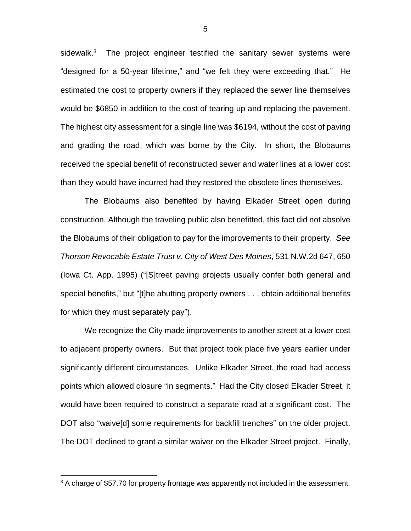sidewalk. $3$  The project engineer testified the sanitary sewer systems were "designed for a 50-year lifetime," and "we felt they were exceeding that." He estimated the cost to property owners if they replaced the sewer line themselves would be \$6850 in addition to the cost of tearing up and replacing the pavement. The highest city assessment for a single line was \$6194, without the cost of paving and grading the road, which was borne by the City. In short, the Blobaums received the special benefit of reconstructed sewer and water lines at a lower cost than they would have incurred had they restored the obsolete lines themselves.

The Blobaums also benefited by having Elkader Street open during construction. Although the traveling public also benefitted, this fact did not absolve the Blobaums of their obligation to pay for the improvements to their property. *See Thorson Revocable Estate Trust v. City of West Des Moines*, 531 N.W.2d 647, 650 (Iowa Ct. App. 1995) ("[S]treet paving projects usually confer both general and special benefits," but "[t]he abutting property owners . . . obtain additional benefits for which they must separately pay").

We recognize the City made improvements to another street at a lower cost to adjacent property owners. But that project took place five years earlier under significantly different circumstances. Unlike Elkader Street, the road had access points which allowed closure "in segments." Had the City closed Elkader Street, it would have been required to construct a separate road at a significant cost. The DOT also "waive[d] some requirements for backfill trenches" on the older project. The DOT declined to grant a similar waiver on the Elkader Street project. Finally,

 $\overline{a}$ 

<sup>&</sup>lt;sup>3</sup> A charge of \$57.70 for property frontage was apparently not included in the assessment.